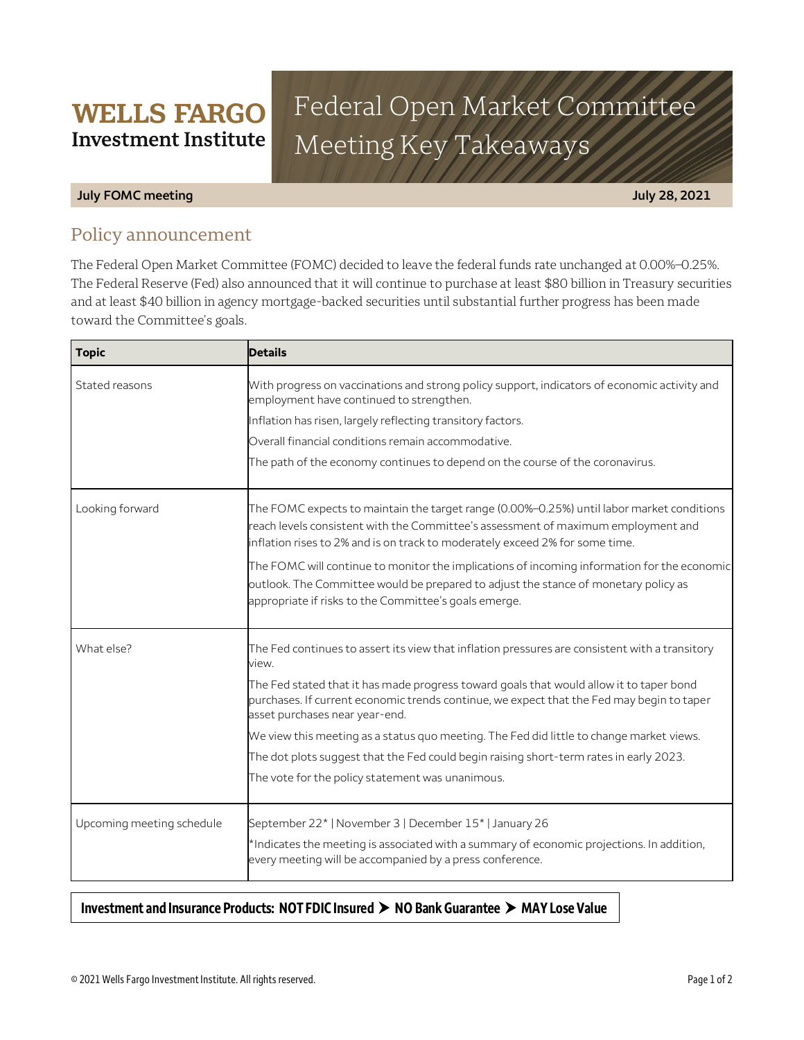# Federal Open Market Committee Meeting Key Takeaways

#### **July FOMC meeting July 28, 2021**

## Policy announcement

**WELLS FARGO Investment Institute** 

The Federal Open Market Committee (FOMC) decided to leave the federal funds rate unchanged at 0.00%–0.25%. The Federal Reserve (Fed) also announced that it will continue to purchase at least \$80 billion in Treasury securities and at least \$40 billion in agency mortgage-backed securities until substantial further progress has been made toward the Committee's goals.

| <b>Topic</b>              | <b>Details</b>                                                                                                                                                                                                                                                 |
|---------------------------|----------------------------------------------------------------------------------------------------------------------------------------------------------------------------------------------------------------------------------------------------------------|
| Stated reasons            | With progress on vaccinations and strong policy support, indicators of economic activity and<br>employment have continued to strengthen.                                                                                                                       |
|                           | Inflation has risen, largely reflecting transitory factors.                                                                                                                                                                                                    |
|                           | Overall financial conditions remain accommodative.                                                                                                                                                                                                             |
|                           | The path of the economy continues to depend on the course of the coronavirus.                                                                                                                                                                                  |
| Looking forward           | The FOMC expects to maintain the target range (0.00%–0.25%) until labor market conditions<br>reach levels consistent with the Committee's assessment of maximum employment and<br>inflation rises to 2% and is on track to moderately exceed 2% for some time. |
|                           | The FOMC will continue to monitor the implications of incoming information for the economic<br>outlook. The Committee would be prepared to adjust the stance of monetary policy as<br>appropriate if risks to the Committee's goals emerge.                    |
| What else?                | The Fed continues to assert its view that inflation pressures are consistent with a transitory<br>view.                                                                                                                                                        |
|                           | The Fed stated that it has made progress toward goals that would allow it to taper bond<br>purchases. If current economic trends continue, we expect that the Fed may begin to taper<br>asset purchases near year-end.                                         |
|                           | We view this meeting as a status quo meeting. The Fed did little to change market views.                                                                                                                                                                       |
|                           | The dot plots suggest that the Fed could begin raising short-term rates in early 2023.                                                                                                                                                                         |
|                           | The vote for the policy statement was unanimous.                                                                                                                                                                                                               |
| Upcoming meeting schedule | September 22*   November 3   December 15*   January 26                                                                                                                                                                                                         |
|                           | *Indicates the meeting is associated with a summary of economic projections. In addition,<br>every meeting will be accompanied by a press conference.                                                                                                          |

### Investment and Insurance Products: NOT FDIC Insured > NO Bank Guarantee > MAY Lose Value